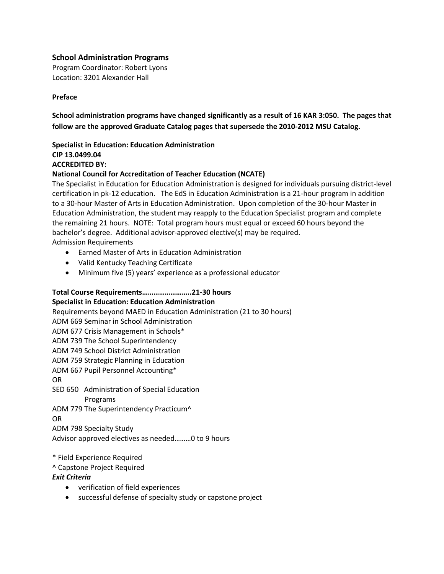## **School Administration Programs**

Program Coordinator: Robert Lyons Location: 3201 Alexander Hall

### **Preface**

**School administration programs have changed significantly as a result of 16 KAR 3:050. The pages that follow are the approved Graduate Catalog pages that supersede the 2010-2012 MSU Catalog.**

# **Specialist in Education: Education Administration CIP 13.0499.04 ACCREDITED BY:**

### **National Council for Accreditation of Teacher Education (NCATE)**

The Specialist in Education for Education Administration is designed for individuals pursuing district-level certification in pk-12 education. The EdS in Education Administration is a 21-hour program in addition to a 30-hour Master of Arts in Education Administration. Upon completion of the 30-hour Master in Education Administration, the student may reapply to the Education Specialist program and complete the remaining 21 hours. NOTE: Total program hours must equal or exceed 60 hours beyond the bachelor's degree. Additional advisor-approved elective(s) may be required. Admission Requirements

Earned Master of Arts in Education Administration

- Valid Kentucky Teaching Certificate
- Minimum five (5) years' experience as a professional educator

### **Total Course Requirements……………………..21-30 hours**

### **Specialist in Education: Education Administration**

Requirements beyond MAED in Education Administration (21 to 30 hours) ADM 669 Seminar in School Administration ADM 677 Crisis Management in Schools\* ADM 739 The School Superintendency ADM 749 School District Administration ADM 759 Strategic Planning in Education ADM 667 Pupil Personnel Accounting\* OR SED 650 Administration of Special Education Programs ADM 779 The Superintendency Practicum^ OR ADM 798 Specialty Study

Advisor approved electives as needed………0 to 9 hours

### \* Field Experience Required

^ Capstone Project Required

### *Exit Criteria*

- verification of field experiences
- successful defense of specialty study or capstone project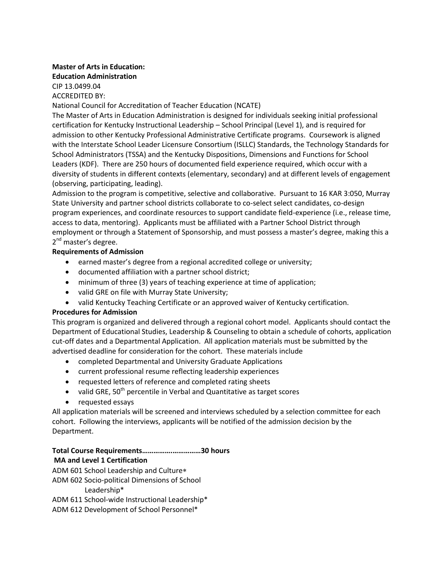# **Master of Arts in Education: Education Administration**

CIP 13.0499.04 ACCREDITED BY:

National Council for Accreditation of Teacher Education (NCATE)

The Master of Arts in Education Administration is designed for individuals seeking initial professional certification for Kentucky Instructional Leadership – School Principal (Level 1), and is required for admission to other Kentucky Professional Administrative Certificate programs. Coursework is aligned with the Interstate School Leader Licensure Consortium (ISLLC) Standards, the Technology Standards for School Administrators (TSSA) and the Kentucky Dispositions, Dimensions and Functions for School Leaders (KDF). There are 250 hours of documented field experience required, which occur with a diversity of students in different contexts (elementary, secondary) and at different levels of engagement (observing, participating, leading).

Admission to the program is competitive, selective and collaborative. Pursuant to 16 KAR 3:050, Murray State University and partner school districts collaborate to co-select select candidates, co-design program experiences, and coordinate resources to support candidate field-experience (i.e., release time, access to data, mentoring). Applicants must be affiliated with a Partner School District through employment or through a Statement of Sponsorship, and must possess a master's degree, making this a 2<sup>nd</sup> master's degree.

## **Requirements of Admission**

- earned master's degree from a regional accredited college or university;
- documented affiliation with a partner school district;
- minimum of three (3) years of teaching experience at time of application;
- valid GRE on file with Murray State University;
- valid Kentucky Teaching Certificate or an approved waiver of Kentucky certification.

### **Procedures for Admission**

This program is organized and delivered through a regional cohort model. Applicants should contact the Department of Educational Studies, Leadership & Counseling to obtain a schedule of cohorts, application cut-off dates and a Departmental Application. All application materials must be submitted by the advertised deadline for consideration for the cohort. These materials include

- completed Departmental and University Graduate Applications
- current professional resume reflecting leadership experiences
- requested letters of reference and completed rating sheets
- valid GRE,  $50<sup>th</sup>$  percentile in Verbal and Quantitative as target scores
- requested essays

All application materials will be screened and interviews scheduled by a selection committee for each cohort. Following the interviews, applicants will be notified of the admission decision by the Department.

**Total Course Requirements…………….……………30 hours**

# **MA and Level 1 Certification**

ADM 601 School Leadership and Culture

ADM 602 Socio-political Dimensions of School

Leadership\*

ADM 611 School-wide Instructional Leadership\*

ADM 612 Development of School Personnel\*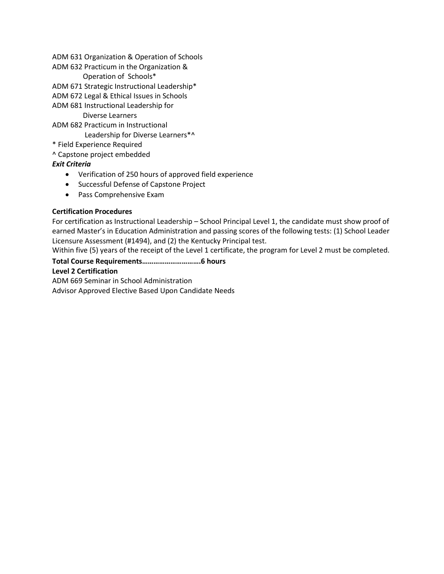ADM 631 Organization & Operation of Schools

ADM 632 Practicum in the Organization &

Operation of Schools\*

ADM 671 Strategic Instructional Leadership\*

ADM 672 Legal & Ethical Issues in Schools

ADM 681 Instructional Leadership for

Diverse Learners

ADM 682 Practicum in Instructional Leadership for Diverse Learners\*^

\* Field Experience Required

^ Capstone project embedded

# *Exit Criteria*

- Verification of 250 hours of approved field experience
- **•** Successful Defense of Capstone Project
- Pass Comprehensive Exam

# **Certification Procedures**

For certification as Instructional Leadership – School Principal Level 1, the candidate must show proof of earned Master's in Education Administration and passing scores of the following tests: (1) School Leader Licensure Assessment (#1494), and (2) the Kentucky Principal test.

Within five (5) years of the receipt of the Level 1 certificate, the program for Level 2 must be completed.

# **Total Course Requirements………………………….6 hours Level 2 Certification**

ADM 669 Seminar in School Administration Advisor Approved Elective Based Upon Candidate Needs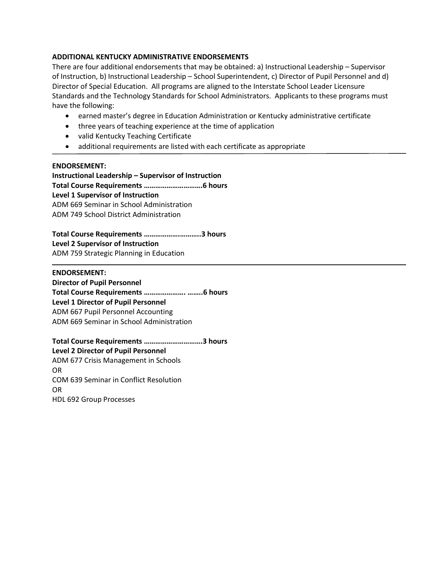### **ADDITIONAL KENTUCKY ADMINISTRATIVE ENDORSEMENTS**

There are four additional endorsements that may be obtained: a) Instructional Leadership – Supervisor of Instruction, b) Instructional Leadership – School Superintendent, c) Director of Pupil Personnel and d) Director of Special Education. All programs are aligned to the Interstate School Leader Licensure Standards and the Technology Standards for School Administrators. Applicants to these programs must have the following:

- earned master's degree in Education Administration or Kentucky administrative certificate
- three years of teaching experience at the time of application
- valid Kentucky Teaching Certificate
- additional requirements are listed with each certificate as appropriate

### **ENDORSEMENT:**

**Instructional Leadership – Supervisor of Instruction Total Course Requirements ………………………….6 hours Level 1 Supervisor of Instruction**  ADM 669 Seminar in School Administration ADM 749 School District Administration

**Total Course Requirements ……………….………..3 hours Level 2 Supervisor of Instruction** ADM 759 Strategic Planning in Education

#### **ENDORSEMENT:**

**Director of Pupil Personnel Total Course Requirements …………………. ……..6 hours Level 1 Director of Pupil Personnel** ADM 667 Pupil Personnel Accounting ADM 669 Seminar in School Administration

**Total Course Requirements ………………………….3 hours Level 2 Director of Pupil Personnel** ADM 677 Crisis Management in Schools OR COM 639 Seminar in Conflict Resolution OR HDL 692 Group Processes